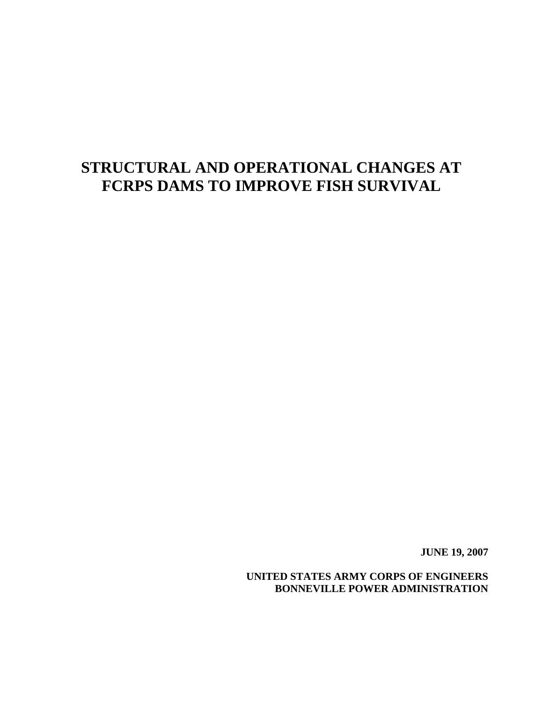# **STRUCTURAL AND OPERATIONAL CHANGES AT FCRPS DAMS TO IMPROVE FISH SURVIVAL**

**JUNE 19, 2007** 

**UNITED STATES ARMY CORPS OF ENGINEERS BONNEVILLE POWER ADMINISTRATION**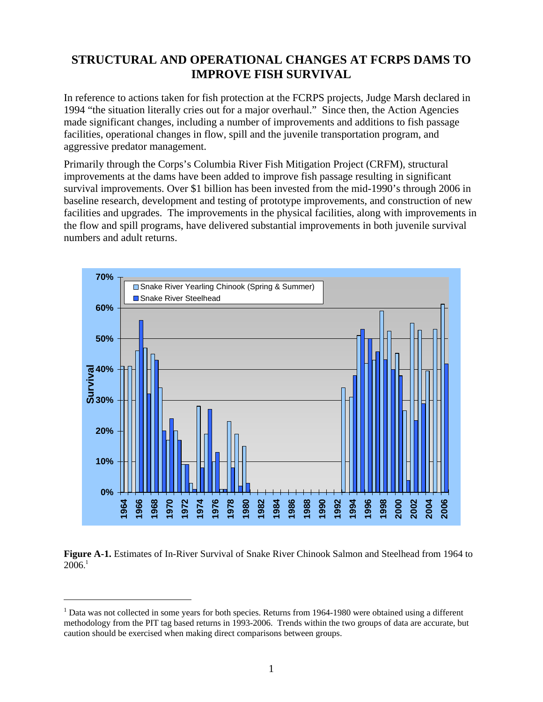# **STRUCTURAL AND OPERATIONAL CHANGES AT FCRPS DAMS TO IMPROVE FISH SURVIVAL**

In reference to actions taken for fish protection at the FCRPS projects, Judge Marsh declared in 1994 "the situation literally cries out for a major overhaul." Since then, the Action Agencies made significant changes, including a number of improvements and additions to fish passage facilities, operational changes in flow, spill and the juvenile transportation program, and aggressive predator management.

Primarily through the Corps's Columbia River Fish Mitigation Project (CRFM), structural improvements at the dams have been added to improve fish passage resulting in significant survival improvements. Over \$1 billion has been invested from the mid-1990's through 2006 in baseline research, development and testing of prototype improvements, and construction of new facilities and upgrades. The improvements in the physical facilities, along with improvements in the flow and spill programs, have delivered substantial improvements in both juvenile survival numbers and adult returns.





 $\overline{a}$ 

<sup>&</sup>lt;sup>1</sup> Data was not collected in some years for both species. Returns from 1964-1980 were obtained using a different methodology from the PIT tag based returns in 1993-2006. Trends within the two groups of data are accurate, but caution should be exercised when making direct comparisons between groups.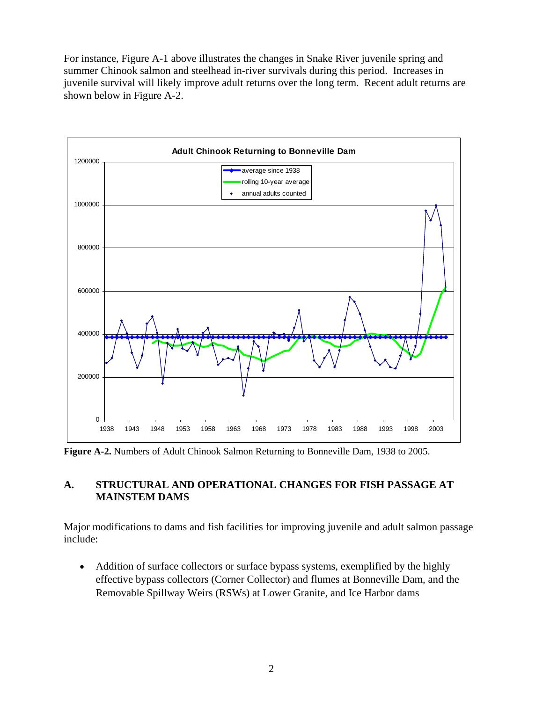For instance, Figure A-1 above illustrates the changes in Snake River juvenile spring and summer Chinook salmon and steelhead in-river survivals during this period. Increases in juvenile survival will likely improve adult returns over the long term. Recent adult returns are shown below in Figure A-2.



**Figure A-2.** Numbers of Adult Chinook Salmon Returning to Bonneville Dam, 1938 to 2005.

## **A. STRUCTURAL AND OPERATIONAL CHANGES FOR FISH PASSAGE AT MAINSTEM DAMS**

Major modifications to dams and fish facilities for improving juvenile and adult salmon passage include:

• Addition of surface collectors or surface bypass systems, exemplified by the highly effective bypass collectors (Corner Collector) and flumes at Bonneville Dam, and the Removable Spillway Weirs (RSWs) at Lower Granite, and Ice Harbor dams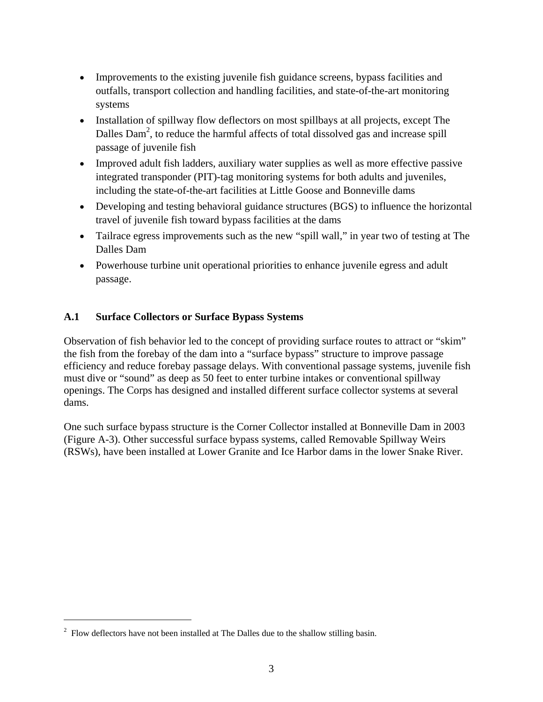- Improvements to the existing juvenile fish guidance screens, bypass facilities and outfalls, transport collection and handling facilities, and state-of-the-art monitoring systems
- Installation of spillway flow deflectors on most spillbays at all projects, except The Dalles  $\text{Dom}^2$ , to reduce the harmful affects of total dissolved gas and increase spill passage of juvenile fish
- Improved adult fish ladders, auxiliary water supplies as well as more effective passive integrated transponder (PIT)-tag monitoring systems for both adults and juveniles, including the state-of-the-art facilities at Little Goose and Bonneville dams
- Developing and testing behavioral guidance structures (BGS) to influence the horizontal travel of juvenile fish toward bypass facilities at the dams
- Tailrace egress improvements such as the new "spill wall," in year two of testing at The Dalles Dam
- Powerhouse turbine unit operational priorities to enhance juvenile egress and adult passage.

## **A.1 Surface Collectors or Surface Bypass Systems**

Observation of fish behavior led to the concept of providing surface routes to attract or "skim" the fish from the forebay of the dam into a "surface bypass" structure to improve passage efficiency and reduce forebay passage delays. With conventional passage systems, juvenile fish must dive or "sound" as deep as 50 feet to enter turbine intakes or conventional spillway openings. The Corps has designed and installed different surface collector systems at several dams.

One such surface bypass structure is the Corner Collector installed at Bonneville Dam in 2003 (Figure A-3). Other successful surface bypass systems, called Removable Spillway Weirs (RSWs), have been installed at Lower Granite and Ice Harbor dams in the lower Snake River.

 $\overline{a}$ 

 $2$  Flow deflectors have not been installed at The Dalles due to the shallow stilling basin.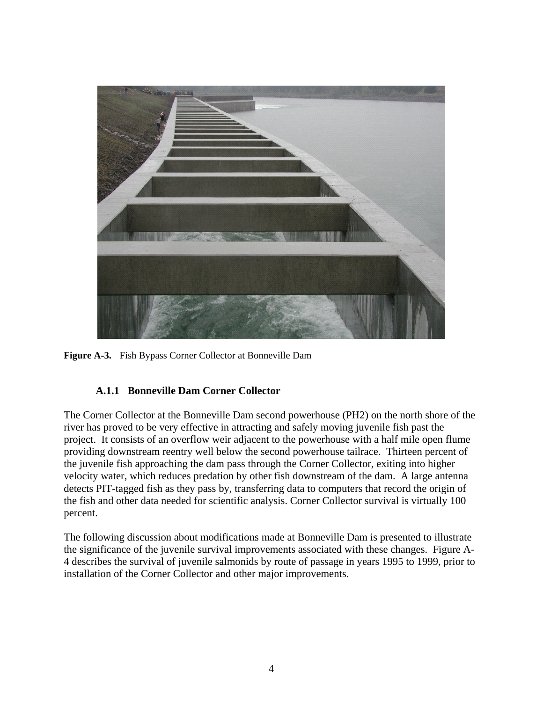

**Figure A-3.** Fish Bypass Corner Collector at Bonneville Dam

### **A.1.1 Bonneville Dam Corner Collector**

The Corner Collector at the Bonneville Dam second powerhouse (PH2) on the north shore of the river has proved to be very effective in attracting and safely moving juvenile fish past the project. It consists of an overflow weir adjacent to the powerhouse with a half mile open flume providing downstream reentry well below the second powerhouse tailrace. Thirteen percent of the juvenile fish approaching the dam pass through the Corner Collector, exiting into higher velocity water, which reduces predation by other fish downstream of the dam. A large antenna detects PIT-tagged fish as they pass by, transferring data to computers that record the origin of the fish and other data needed for scientific analysis. Corner Collector survival is virtually 100 percent.

The following discussion about modifications made at Bonneville Dam is presented to illustrate the significance of the juvenile survival improvements associated with these changes. Figure A-4 describes the survival of juvenile salmonids by route of passage in years 1995 to 1999, prior to installation of the Corner Collector and other major improvements.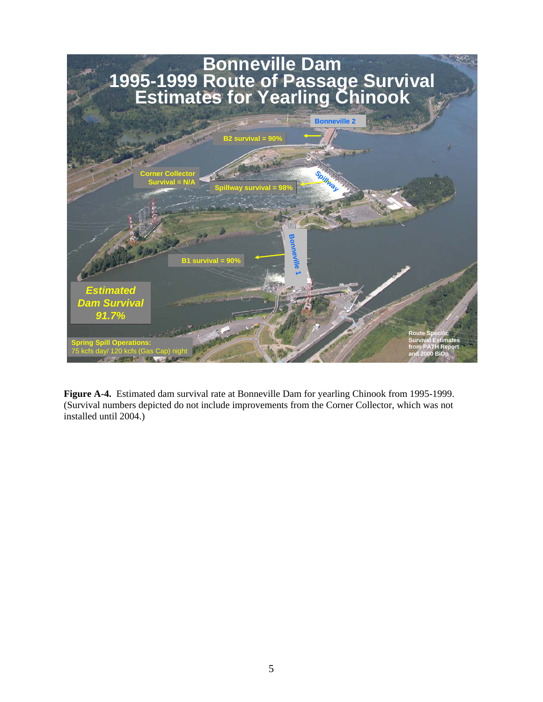

**Figure A-4.** Estimated dam survival rate at Bonneville Dam for yearling Chinook from 1995-1999. (Survival numbers depicted do not include improvements from the Corner Collector, which was not installed until 2004.)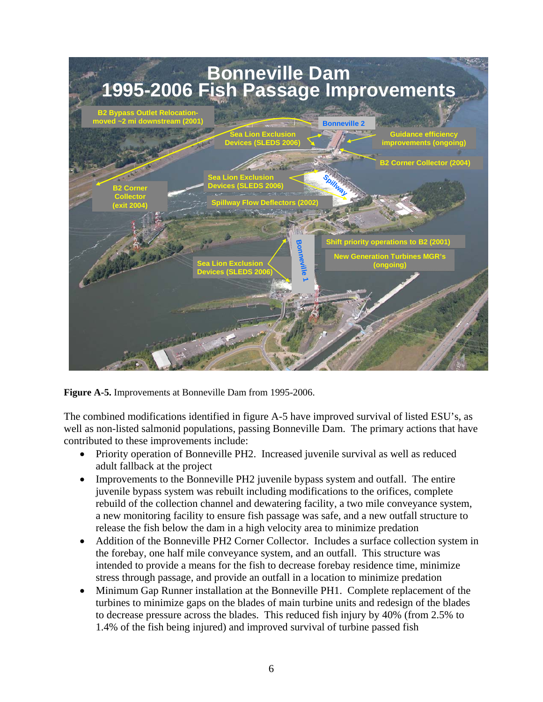

**Figure A-5.** Improvements at Bonneville Dam from 1995-2006.

The combined modifications identified in figure A-5 have improved survival of listed ESU's, as well as non-listed salmonid populations, passing Bonneville Dam. The primary actions that have contributed to these improvements include:

- Priority operation of Bonneville PH2. Increased juvenile survival as well as reduced adult fallback at the project
- Improvements to the Bonneville PH2 juvenile bypass system and outfall. The entire juvenile bypass system was rebuilt including modifications to the orifices, complete rebuild of the collection channel and dewatering facility, a two mile conveyance system, a new monitoring facility to ensure fish passage was safe, and a new outfall structure to release the fish below the dam in a high velocity area to minimize predation
- Addition of the Bonneville PH2 Corner Collector. Includes a surface collection system in the forebay, one half mile conveyance system, and an outfall. This structure was intended to provide a means for the fish to decrease forebay residence time, minimize stress through passage, and provide an outfall in a location to minimize predation
- Minimum Gap Runner installation at the Bonneville PH1. Complete replacement of the turbines to minimize gaps on the blades of main turbine units and redesign of the blades to decrease pressure across the blades. This reduced fish injury by 40% (from 2.5% to 1.4% of the fish being injured) and improved survival of turbine passed fish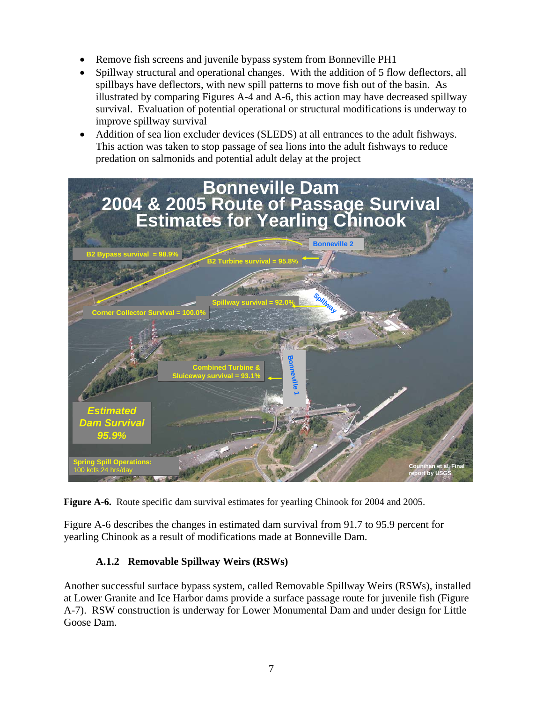- Remove fish screens and juvenile bypass system from Bonneville PH1
- Spillway structural and operational changes. With the addition of 5 flow deflectors, all spillbays have deflectors, with new spill patterns to move fish out of the basin. As illustrated by comparing Figures A-4 and A-6, this action may have decreased spillway survival. Evaluation of potential operational or structural modifications is underway to improve spillway survival
- Addition of sea lion excluder devices (SLEDS) at all entrances to the adult fishways. This action was taken to stop passage of sea lions into the adult fishways to reduce predation on salmonids and potential adult delay at the project



**Figure A-6.** Route specific dam survival estimates for yearling Chinook for 2004 and 2005.

Figure A-6 describes the changes in estimated dam survival from 91.7 to 95.9 percent for yearling Chinook as a result of modifications made at Bonneville Dam.

## **A.1.2 Removable Spillway Weirs (RSWs)**

Another successful surface bypass system, called Removable Spillway Weirs (RSWs), installed at Lower Granite and Ice Harbor dams provide a surface passage route for juvenile fish (Figure A-7). RSW construction is underway for Lower Monumental Dam and under design for Little Goose Dam.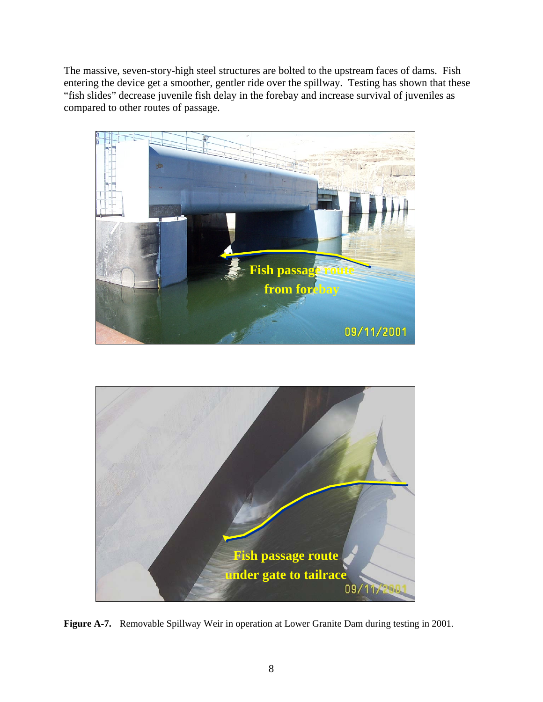The massive, seven-story-high steel structures are bolted to the upstream faces of dams. Fish entering the device get a smoother, gentler ride over the spillway. Testing has shown that these "fish slides" decrease juvenile fish delay in the forebay and increase survival of juveniles as compared to other routes of passage.





**Figure A-7.** Removable Spillway Weir in operation at Lower Granite Dam during testing in 2001.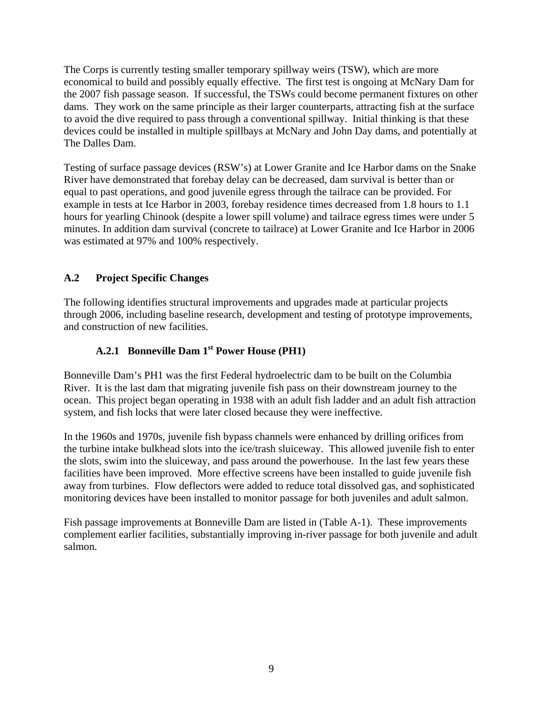The Corps is currently testing smaller temporary spillway weirs (TSW), which are more economical to build and possibly equally effective. The first test is ongoing at McNary Dam for the 2007 fish passage season. If successful, the TSWs could become permanent fixtures on other dams. They work on the same principle as their larger counterparts, attracting fish at the surface to avoid the dive required to pass through a conventional spillway. Initial thinking is that these devices could be installed in multiple spillbays at McNary and John Day dams, and potentially at The Dalles Dam.

Testing of surface passage devices (RSW's) at Lower Granite and Ice Harbor dams on the Snake River have demonstrated that forebay delay can be decreased, dam survival is better than or equal to past operations, and good juvenile egress through the tailrace can be provided. For example in tests at Ice Harbor in 2003, forebay residence times decreased from 1.8 hours to 1.1 hours for yearling Chinook (despite a lower spill volume) and tailrace egress times were under 5 minutes. In addition dam survival (concrete to tailrace) at Lower Granite and Ice Harbor in 2006 was estimated at 97% and 100% respectively.

## **A.2 Project Specific Changes**

The following identifies structural improvements and upgrades made at particular projects through 2006, including baseline research, development and testing of prototype improvements, and construction of new facilities.

## A.2.1 Bonneville Dam 1<sup>st</sup> Power House (PH1)

Bonneville Dam's PH1 was the first Federal hydroelectric dam to be built on the Columbia River. It is the last dam that migrating juvenile fish pass on their downstream journey to the ocean. This project began operating in 1938 with an adult fish ladder and an adult fish attraction system, and fish locks that were later closed because they were ineffective.

In the 1960s and 1970s, juvenile fish bypass channels were enhanced by drilling orifices from the turbine intake bulkhead slots into the ice/trash sluiceway. This allowed juvenile fish to enter the slots, swim into the sluiceway, and pass around the powerhouse. In the last few years these facilities have been improved. More effective screens have been installed to guide juvenile fish away from turbines. Flow deflectors were added to reduce total dissolved gas, and sophisticated monitoring devices have been installed to monitor passage for both juveniles and adult salmon.

Fish passage improvements at Bonneville Dam are listed in (Table A-1). These improvements complement earlier facilities, substantially improving in-river passage for both juvenile and adult salmon.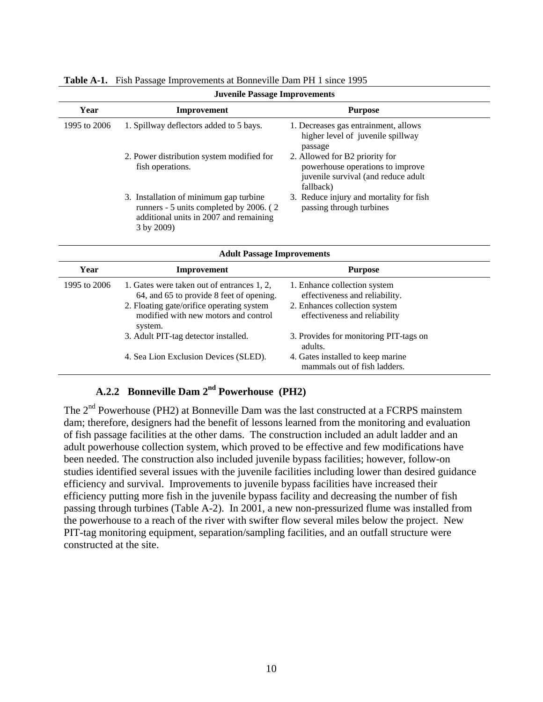| <b>Juvenile Passage Improvements</b> |                                                                                                                                                                                        |                                                                                                                                  |
|--------------------------------------|----------------------------------------------------------------------------------------------------------------------------------------------------------------------------------------|----------------------------------------------------------------------------------------------------------------------------------|
| Year                                 | Improvement                                                                                                                                                                            | <b>Purpose</b>                                                                                                                   |
| 1995 to 2006                         | 1. Spillway deflectors added to 5 bays.                                                                                                                                                | 1. Decreases gas entrainment, allows<br>higher level of juvenile spillway<br>passage                                             |
|                                      | 2. Power distribution system modified for<br>fish operations.                                                                                                                          | 2. Allowed for B2 priority for<br>powerhouse operations to improve<br>juvenile survival (and reduce adult<br>fallback)           |
|                                      | 3. Installation of minimum gap turbine<br>runners - 5 units completed by 2006. (2)<br>additional units in 2007 and remaining<br>3 by 2009)                                             | 3. Reduce injury and mortality for fish<br>passing through turbines                                                              |
|                                      | <b>Adult Passage Improvements</b>                                                                                                                                                      |                                                                                                                                  |
| Year                                 | Improvement                                                                                                                                                                            | <b>Purpose</b>                                                                                                                   |
| 1995 to 2006                         | 1. Gates were taken out of entrances 1, 2,<br>64, and 65 to provide 8 feet of opening.<br>2. Floating gate/orifice operating system<br>modified with new motors and control<br>system. | 1. Enhance collection system<br>effectiveness and reliability.<br>2. Enhances collection system<br>effectiveness and reliability |
|                                      | 3. Adult PIT-tag detector installed.                                                                                                                                                   | 3. Provides for monitoring PIT-tags on<br>adults.                                                                                |
|                                      | 4. Sea Lion Exclusion Devices (SLED).                                                                                                                                                  | 4. Gates installed to keep marine<br>mammals out of fish ladders.                                                                |

#### **Table A-1.** Fish Passage Improvements at Bonneville Dam PH 1 since 1995

## A.2.2 Bonneville Dam 2<sup>nd</sup> Powerhouse (PH2)

The 2<sup>nd</sup> Powerhouse (PH2) at Bonneville Dam was the last constructed at a FCRPS mainstem dam; therefore, designers had the benefit of lessons learned from the monitoring and evaluation of fish passage facilities at the other dams. The construction included an adult ladder and an adult powerhouse collection system, which proved to be effective and few modifications have been needed. The construction also included juvenile bypass facilities; however, follow-on studies identified several issues with the juvenile facilities including lower than desired guidance efficiency and survival. Improvements to juvenile bypass facilities have increased their efficiency putting more fish in the juvenile bypass facility and decreasing the number of fish passing through turbines (Table A-2). In 2001, a new non-pressurized flume was installed from the powerhouse to a reach of the river with swifter flow several miles below the project. New PIT-tag monitoring equipment, separation/sampling facilities, and an outfall structure were constructed at the site.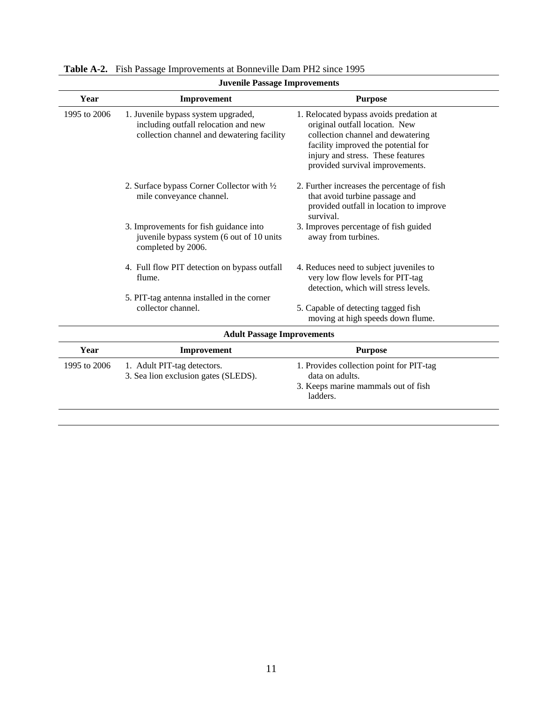| <b>Juvenile Passage Improvements</b> |                                                                                                                           |                                                                                                                                                                                                                               |  |
|--------------------------------------|---------------------------------------------------------------------------------------------------------------------------|-------------------------------------------------------------------------------------------------------------------------------------------------------------------------------------------------------------------------------|--|
| Year                                 | Improvement                                                                                                               | <b>Purpose</b>                                                                                                                                                                                                                |  |
| 1995 to 2006                         | 1. Juvenile bypass system upgraded,<br>including outfall relocation and new<br>collection channel and dewatering facility | 1. Relocated bypass avoids predation at<br>original outfall location. New<br>collection channel and dewatering<br>facility improved the potential for<br>injury and stress. These features<br>provided survival improvements. |  |
|                                      | 2. Surface bypass Corner Collector with 1/2<br>mile conveyance channel.                                                   | 2. Further increases the percentage of fish<br>that avoid turbine passage and<br>provided outfall in location to improve<br>survival.                                                                                         |  |
|                                      | 3. Improvements for fish guidance into<br>juvenile bypass system (6 out of 10 units<br>completed by 2006.                 | 3. Improves percentage of fish guided<br>away from turbines.                                                                                                                                                                  |  |
|                                      | 4. Full flow PIT detection on bypass outfall<br>flume.<br>5. PIT-tag antenna installed in the corner                      | 4. Reduces need to subject juveniles to<br>very low flow levels for PIT-tag<br>detection, which will stress levels.                                                                                                           |  |
|                                      | collector channel.                                                                                                        | 5. Capable of detecting tagged fish<br>moving at high speeds down flume.                                                                                                                                                      |  |
|                                      | <b>Adult Passage Improvements</b>                                                                                         |                                                                                                                                                                                                                               |  |
| Year                                 | Improvement                                                                                                               | <b>Purpose</b>                                                                                                                                                                                                                |  |
| 1995 to 2006                         | 1. Adult PIT-tag detectors.<br>3. Sea lion exclusion gates (SLEDS).                                                       | 1. Provides collection point for PIT-tag<br>data on adults.<br>3. Keeps marine mammals out of fish<br>ladders.                                                                                                                |  |

| Table A-2. Fish Passage Improvements at Bonneville Dam PH2 since 1995 |
|-----------------------------------------------------------------------|
|                                                                       |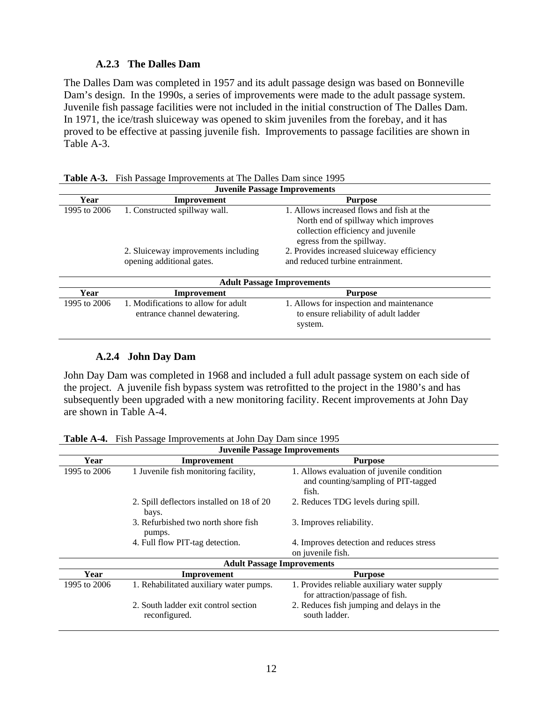#### **A.2.3 The Dalles Dam**

The Dalles Dam was completed in 1957 and its adult passage design was based on Bonneville Dam's design. In the 1990s, a series of improvements were made to the adult passage system. Juvenile fish passage facilities were not included in the initial construction of The Dalles Dam. In 1971, the ice/trash sluiceway was opened to skim juveniles from the forebay, and it has proved to be effective at passing juvenile fish. Improvements to passage facilities are shown in Table A-3.

| <b>Juvenile Passage Improvements</b> |                                     |                                            |  |
|--------------------------------------|-------------------------------------|--------------------------------------------|--|
| Year                                 | Improvement                         | <b>Purpose</b>                             |  |
| 1995 to 2006                         | 1. Constructed spillway wall.       | 1. Allows increased flows and fish at the  |  |
|                                      |                                     | North end of spillway which improves       |  |
|                                      |                                     | collection efficiency and juvenile         |  |
|                                      |                                     | egress from the spillway.                  |  |
|                                      | 2. Sluiceway improvements including | 2. Provides increased sluiceway efficiency |  |
|                                      | opening additional gates.           | and reduced turbine entrainment.           |  |
| <b>Adult Passage Improvements</b>    |                                     |                                            |  |
| Year                                 | Improvement                         | <b>Purpose</b>                             |  |
| 1995 to 2006                         | 1. Modifications to allow for adult | 1. Allows for inspection and maintenance   |  |
|                                      | entrance channel dewatering.        | to ensure reliability of adult ladder      |  |
|                                      |                                     | system.                                    |  |

### **A.2.4 John Day Dam**

John Day Dam was completed in 1968 and included a full adult passage system on each side of the project. A juvenile fish bypass system was retrofitted to the project in the 1980's and has subsequently been upgraded with a new monitoring facility. Recent improvements at John Day are shown in Table A-4.

| <b>Juvenile Passage Improvements</b> |                                                       |                                                                                            |  |  |
|--------------------------------------|-------------------------------------------------------|--------------------------------------------------------------------------------------------|--|--|
| Year                                 | Improvement                                           | <b>Purpose</b>                                                                             |  |  |
| 1995 to 2006                         | 1 Juvenile fish monitoring facility,                  | 1. Allows evaluation of juvenile condition<br>and counting/sampling of PIT-tagged<br>fish. |  |  |
|                                      | 2. Spill deflectors installed on 18 of 20<br>bays.    | 2. Reduces TDG levels during spill.                                                        |  |  |
|                                      | 3. Refurbished two north shore fish<br>pumps.         | 3. Improves reliability.                                                                   |  |  |
|                                      | 4. Full flow PIT-tag detection.                       | 4. Improves detection and reduces stress                                                   |  |  |
|                                      |                                                       | on juvenile fish.                                                                          |  |  |
|                                      | <b>Adult Passage Improvements</b>                     |                                                                                            |  |  |
| Year                                 | Improvement                                           | <b>Purpose</b>                                                                             |  |  |
| 1995 to 2006                         | 1. Rehabilitated auxiliary water pumps.               | 1. Provides reliable auxiliary water supply<br>for attraction/passage of fish.             |  |  |
|                                      | 2. South ladder exit control section<br>reconfigured. | 2. Reduces fish jumping and delays in the<br>south ladder.                                 |  |  |

**Table A-4.** Fish Passage Improvements at John Day Dam since 1995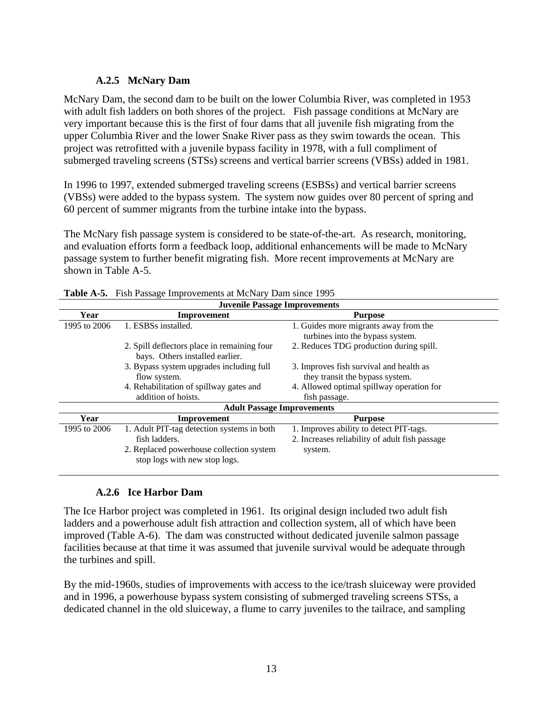### **A.2.5 McNary Dam**

McNary Dam, the second dam to be built on the lower Columbia River, was completed in 1953 with adult fish ladders on both shores of the project. Fish passage conditions at McNary are very important because this is the first of four dams that all juvenile fish migrating from the upper Columbia River and the lower Snake River pass as they swim towards the ocean. This project was retrofitted with a juvenile bypass facility in 1978, with a full compliment of submerged traveling screens (STSs) screens and vertical barrier screens (VBSs) added in 1981.

In 1996 to 1997, extended submerged traveling screens (ESBSs) and vertical barrier screens (VBSs) were added to the bypass system. The system now guides over 80 percent of spring and 60 percent of summer migrants from the turbine intake into the bypass.

The McNary fish passage system is considered to be state-of-the-art. As research, monitoring, and evaluation efforts form a feedback loop, additional enhancements will be made to McNary passage system to further benefit migrating fish. More recent improvements at McNary are shown in Table A-5.

| <b>Juvenile Passage Improvements</b> |                                                                                                                                          |                                                                                                      |  |  |  |
|--------------------------------------|------------------------------------------------------------------------------------------------------------------------------------------|------------------------------------------------------------------------------------------------------|--|--|--|
| Year                                 | Improvement                                                                                                                              | <b>Purpose</b>                                                                                       |  |  |  |
| 1995 to 2006                         | 1. ESBSs installed.                                                                                                                      | 1. Guides more migrants away from the<br>turbines into the bypass system.                            |  |  |  |
|                                      | 2. Spill deflectors place in remaining four<br>bays. Others installed earlier.                                                           | 2. Reduces TDG production during spill.                                                              |  |  |  |
|                                      | 3. Bypass system upgrades including full<br>flow system.                                                                                 | 3. Improves fish survival and health as<br>they transit the bypass system.                           |  |  |  |
|                                      | 4. Rehabilitation of spillway gates and<br>addition of hoists.                                                                           | 4. Allowed optimal spillway operation for<br>fish passage.                                           |  |  |  |
|                                      | <b>Adult Passage Improvements</b>                                                                                                        |                                                                                                      |  |  |  |
| Year                                 | Improvement                                                                                                                              | <b>Purpose</b>                                                                                       |  |  |  |
| 1995 to 2006                         | 1. Adult PIT-tag detection systems in both<br>fish ladders.<br>2. Replaced powerhouse collection system<br>stop logs with new stop logs. | 1. Improves ability to detect PIT-tags.<br>2. Increases reliability of adult fish passage<br>system. |  |  |  |

|  | <b>Table A-5.</b> Fish Passage Improvements at McNary Dam since 1995 |
|--|----------------------------------------------------------------------|
|--|----------------------------------------------------------------------|

## **A.2.6 Ice Harbor Dam**

The Ice Harbor project was completed in 1961. Its original design included two adult fish ladders and a powerhouse adult fish attraction and collection system, all of which have been improved (Table A-6). The dam was constructed without dedicated juvenile salmon passage facilities because at that time it was assumed that juvenile survival would be adequate through the turbines and spill.

By the mid-1960s, studies of improvements with access to the ice/trash sluiceway were provided and in 1996, a powerhouse bypass system consisting of submerged traveling screens STSs, a dedicated channel in the old sluiceway, a flume to carry juveniles to the tailrace, and sampling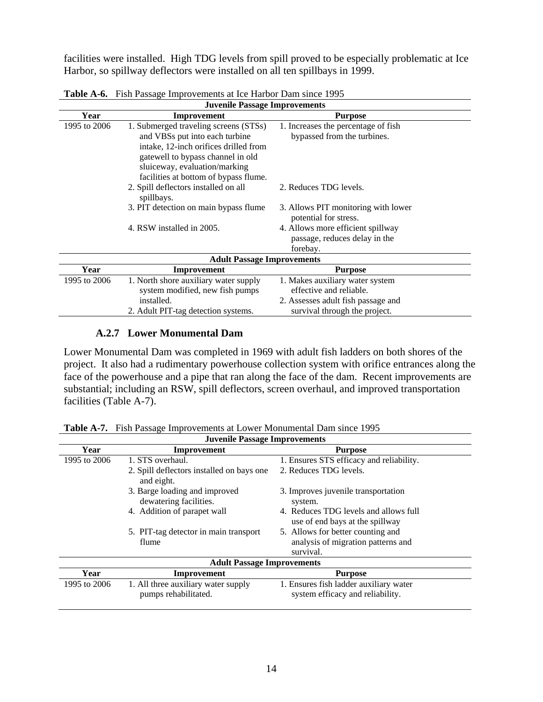facilities were installed. High TDG levels from spill proved to be especially problematic at Ice Harbor, so spillway deflectors were installed on all ten spillbays in 1999.

| <b>Juvenile Passage Improvements</b> |                                                    |                                     |  |  |
|--------------------------------------|----------------------------------------------------|-------------------------------------|--|--|
| Year                                 | Improvement                                        | <b>Purpose</b>                      |  |  |
| 1995 to 2006                         | 1. Submerged traveling screens (STSs)              | 1. Increases the percentage of fish |  |  |
|                                      | and VBSs put into each turbine                     | bypassed from the turbines.         |  |  |
|                                      | intake, 12-inch orifices drilled from              |                                     |  |  |
|                                      | gatewell to bypass channel in old                  |                                     |  |  |
|                                      | sluiceway, evaluation/marking                      |                                     |  |  |
|                                      | facilities at bottom of bypass flume.              |                                     |  |  |
|                                      | 2. Spill deflectors installed on all<br>spillbays. | 2. Reduces TDG levels.              |  |  |
|                                      | 3. PIT detection on main bypass flume              | 3. Allows PIT monitoring with lower |  |  |
|                                      |                                                    | potential for stress.               |  |  |
|                                      | 4. RSW installed in 2005.                          | 4. Allows more efficient spillway   |  |  |
|                                      |                                                    | passage, reduces delay in the       |  |  |
|                                      |                                                    | forebay.                            |  |  |
|                                      | <b>Adult Passage Improvements</b>                  |                                     |  |  |
| Year                                 | Improvement                                        | <b>Purpose</b>                      |  |  |
| 1995 to 2006                         | 1. North shore auxiliary water supply              | 1. Makes auxiliary water system     |  |  |
|                                      | system modified, new fish pumps                    | effective and reliable.             |  |  |
|                                      | installed.                                         | 2. Assesses adult fish passage and  |  |  |
|                                      | 2. Adult PIT-tag detection systems.                | survival through the project.       |  |  |

**Table A-6.** Fish Passage Improvements at Ice Harbor Dam since 1995

#### **A.2.7 Lower Monumental Dam**

Lower Monumental Dam was completed in 1969 with adult fish ladders on both shores of the project. It also had a rudimentary powerhouse collection system with orifice entrances along the face of the powerhouse and a pipe that ran along the face of the dam. Recent improvements are substantial; including an RSW, spill deflectors, screen overhaul, and improved transportation facilities (Table A-7).

| <b>Juvenile Passage Improvements</b> |                                                         |                                                                          |  |  |
|--------------------------------------|---------------------------------------------------------|--------------------------------------------------------------------------|--|--|
| Year                                 | Improvement                                             | <b>Purpose</b>                                                           |  |  |
| 1995 to 2006                         | 1. STS overhaul.                                        | 1. Ensures STS efficacy and reliability.                                 |  |  |
|                                      | 2. Spill deflectors installed on bays one<br>and eight. | 2. Reduces TDG levels.                                                   |  |  |
|                                      | 3. Barge loading and improved<br>dewatering facilities. | 3. Improves juvenile transportation<br>system.                           |  |  |
|                                      | 4. Addition of parapet wall                             | 4. Reduces TDG levels and allows full<br>use of end bays at the spillway |  |  |
|                                      | 5. PIT-tag detector in main transport                   | 5. Allows for better counting and                                        |  |  |
|                                      | flume                                                   | analysis of migration patterns and                                       |  |  |
|                                      |                                                         | survival.                                                                |  |  |
| <b>Adult Passage Improvements</b>    |                                                         |                                                                          |  |  |
| Year                                 | Improvement                                             | <b>Purpose</b>                                                           |  |  |
| 1995 to 2006                         | 1. All three auxiliary water supply                     | 1. Ensures fish ladder auxiliary water                                   |  |  |
|                                      | pumps rehabilitated.                                    | system efficacy and reliability.                                         |  |  |

**Table A-7.** Fish Passage Improvements at Lower Monumental Dam since 1995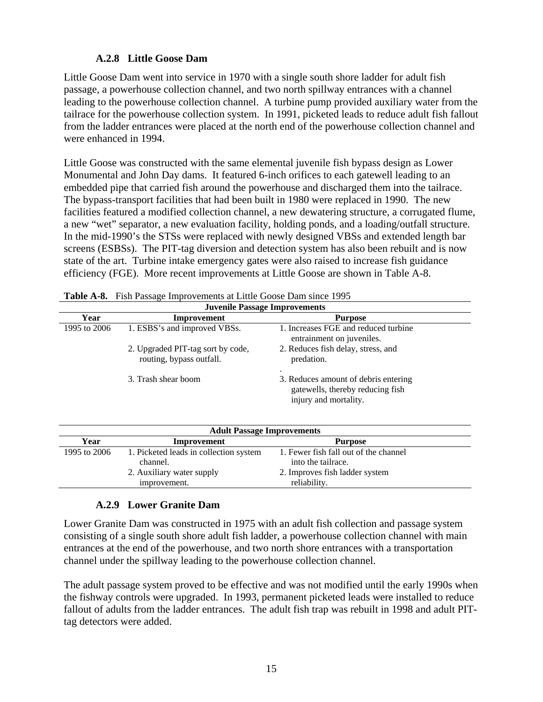#### **A.2.8 Little Goose Dam**

Little Goose Dam went into service in 1970 with a single south shore ladder for adult fish passage, a powerhouse collection channel, and two north spillway entrances with a channel leading to the powerhouse collection channel. A turbine pump provided auxiliary water from the tailrace for the powerhouse collection system. In 1991, picketed leads to reduce adult fish fallout from the ladder entrances were placed at the north end of the powerhouse collection channel and were enhanced in 1994.

Little Goose was constructed with the same elemental juvenile fish bypass design as Lower Monumental and John Day dams. It featured 6-inch orifices to each gatewell leading to an embedded pipe that carried fish around the powerhouse and discharged them into the tailrace. The bypass-transport facilities that had been built in 1980 were replaced in 1990. The new facilities featured a modified collection channel, a new dewatering structure, a corrugated flume, a new "wet" separator, a new evaluation facility, holding ponds, and a loading/outfall structure. In the mid-1990's the STSs were replaced with newly designed VBSs and extended length bar screens (ESBSs). The PIT-tag diversion and detection system has also been rebuilt and is now state of the art. Turbine intake emergency gates were also raised to increase fish guidance efficiency (FGE). More recent improvements at Little Goose are shown in Table A-8.

| <b>Juvenile Passage Improvements</b> |                                                               |                                                                                                   |  |
|--------------------------------------|---------------------------------------------------------------|---------------------------------------------------------------------------------------------------|--|
| Year                                 | Improvement                                                   | <b>Purpose</b>                                                                                    |  |
| 1995 to 2006                         | 1. ESBS's and improved VBSs.                                  | 1. Increases FGE and reduced turbine<br>entrainment on juveniles.                                 |  |
|                                      | 2. Upgraded PIT-tag sort by code,<br>routing, bypass outfall. | 2. Reduces fish delay, stress, and<br>predation.                                                  |  |
|                                      | 3. Trash shear boom                                           | 3. Reduces amount of debris entering<br>gatewells, thereby reducing fish<br>injury and mortality. |  |

| <b>Adult Passage Improvements</b> |                                                    |                                                             |  |  |  |  |
|-----------------------------------|----------------------------------------------------|-------------------------------------------------------------|--|--|--|--|
| Year                              | Improvement                                        | <b>Purpose</b>                                              |  |  |  |  |
| 1995 to 2006                      | 1. Picketed leads in collection system<br>channel. | 1. Fewer fish fall out of the channel<br>into the tailrace. |  |  |  |  |
|                                   | 2. Auxiliary water supply<br>improvement.          | 2. Improves fish ladder system<br>reliability.              |  |  |  |  |

### **A.2.9 Lower Granite Dam**

Lower Granite Dam was constructed in 1975 with an adult fish collection and passage system consisting of a single south shore adult fish ladder, a powerhouse collection channel with main entrances at the end of the powerhouse, and two north shore entrances with a transportation channel under the spillway leading to the powerhouse collection channel.

The adult passage system proved to be effective and was not modified until the early 1990s when the fishway controls were upgraded. In 1993, permanent picketed leads were installed to reduce fallout of adults from the ladder entrances. The adult fish trap was rebuilt in 1998 and adult PITtag detectors were added.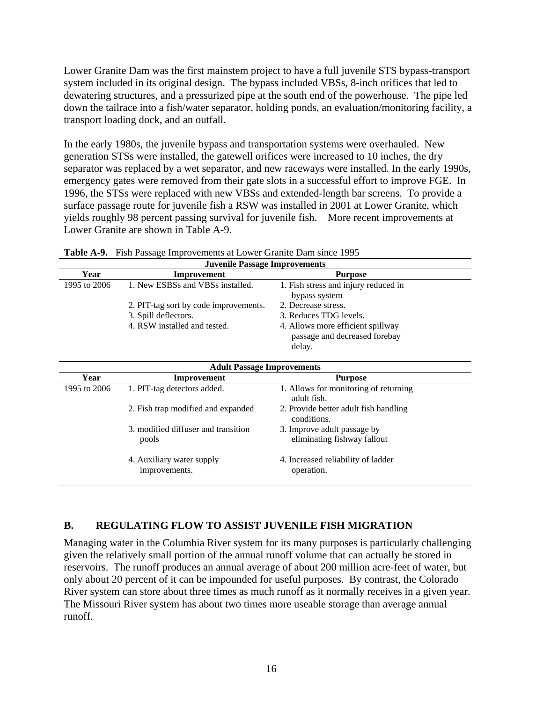Lower Granite Dam was the first mainstem project to have a full juvenile STS bypass-transport system included in its original design. The bypass included VBSs, 8-inch orifices that led to dewatering structures, and a pressurized pipe at the south end of the powerhouse. The pipe led down the tailrace into a fish/water separator, holding ponds, an evaluation/monitoring facility, a transport loading dock, and an outfall.

In the early 1980s, the juvenile bypass and transportation systems were overhauled. New generation STSs were installed, the gatewell orifices were increased to 10 inches, the dry separator was replaced by a wet separator, and new raceways were installed. In the early 1990s, emergency gates were removed from their gate slots in a successful effort to improve FGE. In 1996, the STSs were replaced with new VBSs and extended-length bar screens. To provide a surface passage route for juvenile fish a RSW was installed in 2001 at Lower Granite, which yields roughly 98 percent passing survival for juvenile fish. More recent improvements at Lower Granite are shown in Table A-9.

|              | <b>Juvenile Passage Improvements</b>                                                          |                                                                                                                               |  |  |  |  |  |  |  |
|--------------|-----------------------------------------------------------------------------------------------|-------------------------------------------------------------------------------------------------------------------------------|--|--|--|--|--|--|--|
| Year         | Improvement                                                                                   | <b>Purpose</b>                                                                                                                |  |  |  |  |  |  |  |
| 1995 to 2006 | 1. New ESBSs and VBSs installed.                                                              | 1. Fish stress and injury reduced in<br>bypass system                                                                         |  |  |  |  |  |  |  |
|              | 2. PIT-tag sort by code improvements.<br>3. Spill deflectors.<br>4. RSW installed and tested. | 2. Decrease stress.<br>3. Reduces TDG levels.<br>4. Allows more efficient spillway<br>passage and decreased forebay<br>delay. |  |  |  |  |  |  |  |

|  |  |  | Table A-9. Fish Passage Improvements at Lower Granite Dam since 1995 |
|--|--|--|----------------------------------------------------------------------|
|--|--|--|----------------------------------------------------------------------|

|              | <b>Adult Passage Improvements</b>            |                                                            |  |  |  |  |  |  |
|--------------|----------------------------------------------|------------------------------------------------------------|--|--|--|--|--|--|
| Year         | Improvement                                  | <b>Purpose</b>                                             |  |  |  |  |  |  |
| 1995 to 2006 | 1. PIT-tag detectors added.                  | 1. Allows for monitoring of returning<br>adult fish.       |  |  |  |  |  |  |
|              | 2. Fish trap modified and expanded           | 2. Provide better adult fish handling<br>conditions.       |  |  |  |  |  |  |
|              | 3. modified diffuser and transition<br>pools | 3. Improve adult passage by<br>eliminating fishway fallout |  |  |  |  |  |  |
|              | 4. Auxiliary water supply<br>improvements.   | 4. Increased reliability of ladder<br>operation.           |  |  |  |  |  |  |

### **B. REGULATING FLOW TO ASSIST JUVENILE FISH MIGRATION**

Managing water in the Columbia River system for its many purposes is particularly challenging given the relatively small portion of the annual runoff volume that can actually be stored in reservoirs. The runoff produces an annual average of about 200 million acre-feet of water, but only about 20 percent of it can be impounded for useful purposes. By contrast, the Colorado River system can store about three times as much runoff as it normally receives in a given year. The Missouri River system has about two times more useable storage than average annual runoff.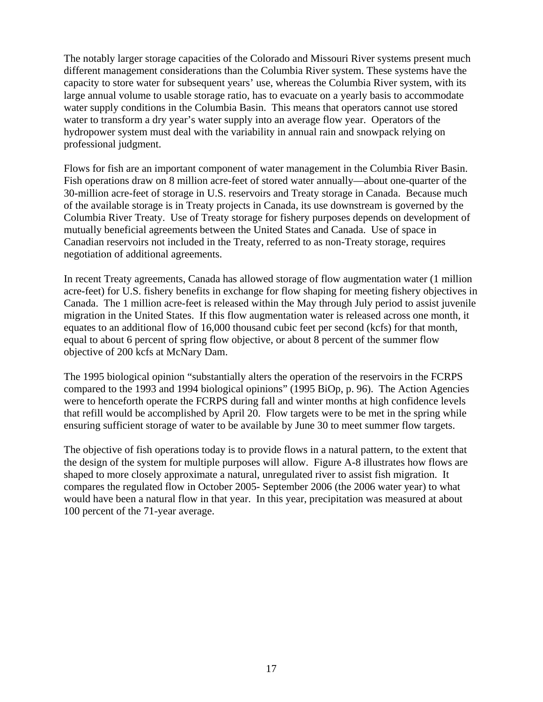The notably larger storage capacities of the Colorado and Missouri River systems present much different management considerations than the Columbia River system. These systems have the capacity to store water for subsequent years' use, whereas the Columbia River system, with its large annual volume to usable storage ratio, has to evacuate on a yearly basis to accommodate water supply conditions in the Columbia Basin. This means that operators cannot use stored water to transform a dry year's water supply into an average flow year. Operators of the hydropower system must deal with the variability in annual rain and snowpack relying on professional judgment.

Flows for fish are an important component of water management in the Columbia River Basin. Fish operations draw on 8 million acre-feet of stored water annually—about one-quarter of the 30-million acre-feet of storage in U.S. reservoirs and Treaty storage in Canada. Because much of the available storage is in Treaty projects in Canada, its use downstream is governed by the Columbia River Treaty. Use of Treaty storage for fishery purposes depends on development of mutually beneficial agreements between the United States and Canada. Use of space in Canadian reservoirs not included in the Treaty, referred to as non-Treaty storage, requires negotiation of additional agreements.

In recent Treaty agreements, Canada has allowed storage of flow augmentation water (1 million acre-feet) for U.S. fishery benefits in exchange for flow shaping for meeting fishery objectives in Canada. The 1 million acre-feet is released within the May through July period to assist juvenile migration in the United States. If this flow augmentation water is released across one month, it equates to an additional flow of 16,000 thousand cubic feet per second (kcfs) for that month, equal to about 6 percent of spring flow objective, or about 8 percent of the summer flow objective of 200 kcfs at McNary Dam.

The 1995 biological opinion "substantially alters the operation of the reservoirs in the FCRPS compared to the 1993 and 1994 biological opinions" (1995 BiOp, p. 96). The Action Agencies were to henceforth operate the FCRPS during fall and winter months at high confidence levels that refill would be accomplished by April 20. Flow targets were to be met in the spring while ensuring sufficient storage of water to be available by June 30 to meet summer flow targets.

The objective of fish operations today is to provide flows in a natural pattern, to the extent that the design of the system for multiple purposes will allow. Figure A-8 illustrates how flows are shaped to more closely approximate a natural, unregulated river to assist fish migration. It compares the regulated flow in October 2005- September 2006 (the 2006 water year) to what would have been a natural flow in that year. In this year, precipitation was measured at about 100 percent of the 71-year average.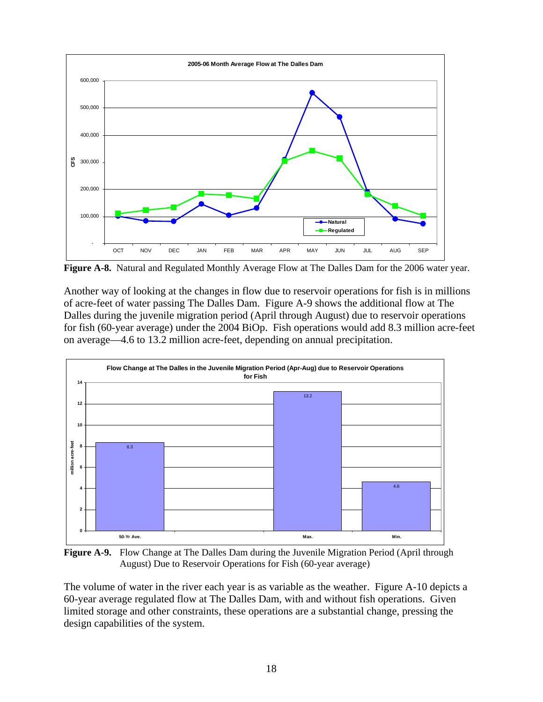

**Figure A-8.** Natural and Regulated Monthly Average Flow at The Dalles Dam for the 2006 water year.

Another way of looking at the changes in flow due to reservoir operations for fish is in millions of acre-feet of water passing The Dalles Dam. Figure A-9 shows the additional flow at The Dalles during the juvenile migration period (April through August) due to reservoir operations for fish (60-year average) under the 2004 BiOp. Fish operations would add 8.3 million acre-feet on average—4.6 to 13.2 million acre-feet, depending on annual precipitation.



**Figure A-9.** Flow Change at The Dalles Dam during the Juvenile Migration Period (April through August) Due to Reservoir Operations for Fish (60-year average)

The volume of water in the river each year is as variable as the weather. Figure A-10 depicts a 60-year average regulated flow at The Dalles Dam, with and without fish operations. Given limited storage and other constraints, these operations are a substantial change, pressing the design capabilities of the system.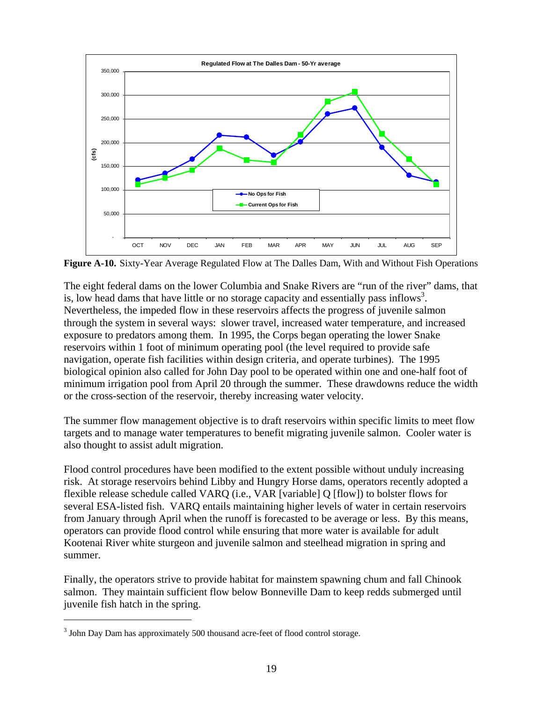

**Figure A-10.** Sixty-Year Average Regulated Flow at The Dalles Dam, With and Without Fish Operations

The eight federal dams on the lower Columbia and Snake Rivers are "run of the river" dams, that is, low head dams that have little or no storage capacity and essentially pass inflows<sup>3</sup>. Nevertheless, the impeded flow in these reservoirs affects the progress of juvenile salmon through the system in several ways: slower travel, increased water temperature, and increased exposure to predators among them. In 1995, the Corps began operating the lower Snake reservoirs within 1 foot of minimum operating pool (the level required to provide safe navigation, operate fish facilities within design criteria, and operate turbines). The 1995 biological opinion also called for John Day pool to be operated within one and one-half foot of minimum irrigation pool from April 20 through the summer. These drawdowns reduce the width or the cross-section of the reservoir, thereby increasing water velocity.

The summer flow management objective is to draft reservoirs within specific limits to meet flow targets and to manage water temperatures to benefit migrating juvenile salmon. Cooler water is also thought to assist adult migration.

Flood control procedures have been modified to the extent possible without unduly increasing risk. At storage reservoirs behind Libby and Hungry Horse dams, operators recently adopted a flexible release schedule called VARQ (i.e., VAR [variable] Q [flow]) to bolster flows for several ESA-listed fish. VARQ entails maintaining higher levels of water in certain reservoirs from January through April when the runoff is forecasted to be average or less. By this means, operators can provide flood control while ensuring that more water is available for adult Kootenai River white sturgeon and juvenile salmon and steelhead migration in spring and summer.

Finally, the operators strive to provide habitat for mainstem spawning chum and fall Chinook salmon. They maintain sufficient flow below Bonneville Dam to keep redds submerged until juvenile fish hatch in the spring.

 $\overline{a}$ 

 $3$  John Day Dam has approximately 500 thousand acre-feet of flood control storage.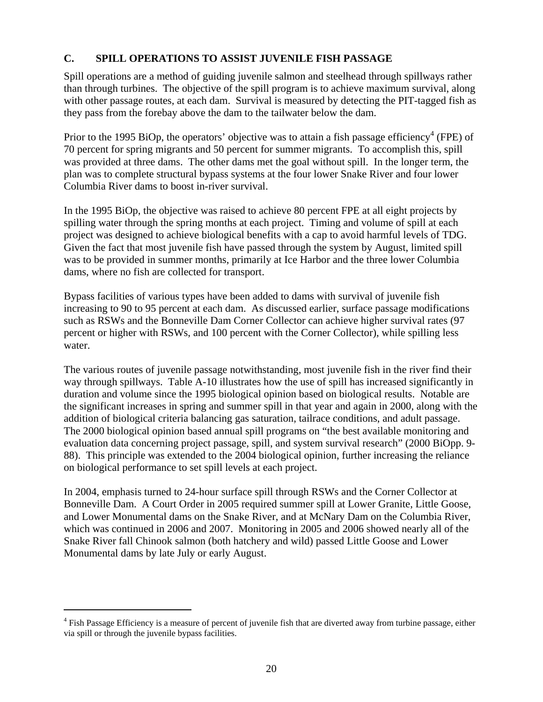## **C. SPILL OPERATIONS TO ASSIST JUVENILE FISH PASSAGE**

Spill operations are a method of guiding juvenile salmon and steelhead through spillways rather than through turbines. The objective of the spill program is to achieve maximum survival, along with other passage routes, at each dam. Survival is measured by detecting the PIT-tagged fish as they pass from the forebay above the dam to the tailwater below the dam.

Prior to the 1995 BiOp, the operators' objective was to attain a fish passage efficiency<sup>4</sup> (FPE) of 70 percent for spring migrants and 50 percent for summer migrants. To accomplish this, spill was provided at three dams. The other dams met the goal without spill. In the longer term, the plan was to complete structural bypass systems at the four lower Snake River and four lower Columbia River dams to boost in-river survival.

In the 1995 BiOp, the objective was raised to achieve 80 percent FPE at all eight projects by spilling water through the spring months at each project. Timing and volume of spill at each project was designed to achieve biological benefits with a cap to avoid harmful levels of TDG. Given the fact that most juvenile fish have passed through the system by August, limited spill was to be provided in summer months, primarily at Ice Harbor and the three lower Columbia dams, where no fish are collected for transport.

Bypass facilities of various types have been added to dams with survival of juvenile fish increasing to 90 to 95 percent at each dam. As discussed earlier, surface passage modifications such as RSWs and the Bonneville Dam Corner Collector can achieve higher survival rates (97 percent or higher with RSWs, and 100 percent with the Corner Collector), while spilling less water.

The various routes of juvenile passage notwithstanding, most juvenile fish in the river find their way through spillways. Table A-10 illustrates how the use of spill has increased significantly in duration and volume since the 1995 biological opinion based on biological results. Notable are the significant increases in spring and summer spill in that year and again in 2000, along with the addition of biological criteria balancing gas saturation, tailrace conditions, and adult passage. The 2000 biological opinion based annual spill programs on "the best available monitoring and evaluation data concerning project passage, spill, and system survival research" (2000 BiOpp. 9- 88). This principle was extended to the 2004 biological opinion, further increasing the reliance on biological performance to set spill levels at each project.

In 2004, emphasis turned to 24-hour surface spill through RSWs and the Corner Collector at Bonneville Dam. A Court Order in 2005 required summer spill at Lower Granite, Little Goose, and Lower Monumental dams on the Snake River, and at McNary Dam on the Columbia River, which was continued in 2006 and 2007. Monitoring in 2005 and 2006 showed nearly all of the Snake River fall Chinook salmon (both hatchery and wild) passed Little Goose and Lower Monumental dams by late July or early August.

1

<sup>&</sup>lt;sup>4</sup> Fish Passage Efficiency is a measure of percent of juvenile fish that are diverted away from turbine passage, either via spill or through the juvenile bypass facilities.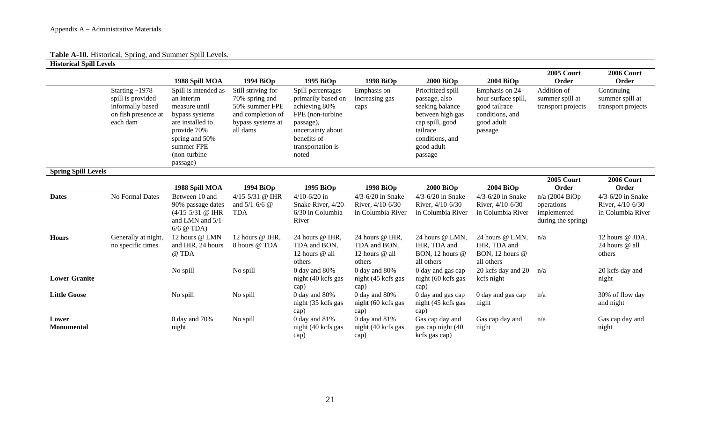## **Table A-10.** Historical, Spring, and Summer Spill Levels.

**Historical Spill Levels** 

|                            |                                                                                                  | 1988 Spill MOA                                                                                                                                                       | 1994 BiOp                                                                                                    | 1995 BiOp                                                                                                                                                    | 1998 BiOp                                                      | <b>2000 BiOp</b>                                                                                                                                     | $2004$ BiOp                                                                                         | <b>2005 Court</b><br>Order                                        | <b>2006 Court</b><br>Order                                     |
|----------------------------|--------------------------------------------------------------------------------------------------|----------------------------------------------------------------------------------------------------------------------------------------------------------------------|--------------------------------------------------------------------------------------------------------------|--------------------------------------------------------------------------------------------------------------------------------------------------------------|----------------------------------------------------------------|------------------------------------------------------------------------------------------------------------------------------------------------------|-----------------------------------------------------------------------------------------------------|-------------------------------------------------------------------|----------------------------------------------------------------|
|                            | Starting $\sim$ 1978<br>spill is provided<br>informally based<br>on fish presence at<br>each dam | Spill is intended as<br>an interim<br>measure until<br>bypass systems<br>are installed to<br>provide 70%<br>spring and 50%<br>summer FPE<br>(non-turbine<br>passage) | Still striving for<br>70% spring and<br>50% summer FPE<br>and completion of<br>bypass systems at<br>all dams | Spill percentages<br>primarily based on<br>achieving 80%<br>FPE (non-turbine)<br>passage),<br>uncertainty about<br>benefits of<br>transportation is<br>noted | Emphasis on<br>increasing gas<br>caps                          | Prioritized spill<br>passage, also<br>seeking balance<br>between high gas<br>cap spill, good<br>tailrace<br>conditions, and<br>good adult<br>passage | Emphasis on 24-<br>hour surface spill,<br>good tailrace<br>conditions, and<br>good adult<br>passage | Addition of<br>summer spill at<br>transport projects              | Continuing<br>summer spill at<br>transport projects            |
| <b>Spring Spill Levels</b> |                                                                                                  |                                                                                                                                                                      |                                                                                                              |                                                                                                                                                              |                                                                |                                                                                                                                                      |                                                                                                     |                                                                   |                                                                |
|                            |                                                                                                  | 1988 Spill MOA                                                                                                                                                       | 1994 BiOp                                                                                                    | 1995 BiOp                                                                                                                                                    | 1998 BiOp                                                      | 2000 BiOp                                                                                                                                            | $2004$ BiOp                                                                                         | <b>2005 Court</b><br>Order                                        | <b>2006 Court</b><br>Order                                     |
| <b>Dates</b>               | No Formal Dates                                                                                  | Between 10 and<br>90% passage dates<br>$(4/15-5/31)$ @ IHR<br>and LMN and 5/1-<br>$6/6$ @ TDA)                                                                       | 4/15-5/31 @ IHR<br>and $5/1 - 6/6$ @<br><b>TDA</b>                                                           | $4/10 - 6/20$ in<br>Snake River, 4/20-<br>6/30 in Columbia<br>River                                                                                          | $4/3 - 6/20$ in Snake<br>River, 4/10-6/30<br>in Columbia River | $4/3 - 6/20$ in Snake<br>River, 4/10-6/30<br>in Columbia River                                                                                       | $4/3 - 6/20$ in Snake<br>River, 4/10-6/30<br>in Columbia River                                      | n/a (2004 BiOp<br>operations<br>implemented<br>during the spring) | $4/3 - 6/20$ in Snake<br>River, 4/10-6/30<br>in Columbia River |
| <b>Hours</b>               | Generally at night,<br>no specific times                                                         | 12 hours @ LMN<br>and IHR, 24 hours<br>@ TDA                                                                                                                         | 12 hours @ IHR,<br>8 hours @ TDA                                                                             | 24 hours @ IHR,<br>TDA and BON.<br>12 hours @ all<br>others                                                                                                  | 24 hours @ IHR,<br>TDA and BON,<br>12 hours $@$ all<br>others  | 24 hours @ LMN,<br>IHR, TDA and<br>BON, 12 hours @<br>all others                                                                                     | 24 hours @ LMN,<br>IHR, TDA and<br>BON, 12 hours @<br>all others                                    | n/a                                                               | 12 hours @ JDA,<br>24 hours @ all<br>others                    |
| <b>Lower Granite</b>       |                                                                                                  | No spill                                                                                                                                                             | No spill                                                                                                     | 0 day and 80%<br>night (40 kcfs gas<br>cap)                                                                                                                  | 0 day and 80%<br>night (45 kcfs gas<br>cap)                    | 0 day and gas cap<br>night (60 kcfs gas<br>cap)                                                                                                      | 20 kcfs day and 20<br>kcfs night                                                                    | n/a                                                               | 20 kcfs day and<br>night                                       |
| <b>Little Goose</b>        |                                                                                                  | No spill                                                                                                                                                             | No spill                                                                                                     | 0 day and 80%<br>night (35 kcfs gas<br>cap)                                                                                                                  | 0 day and 80%<br>night (60 kcfs gas                            | 0 day and gas cap<br>night (45 kcfs gas                                                                                                              | 0 day and gas cap<br>night                                                                          | n/a                                                               | 30% of flow day<br>and night                                   |
| Lower<br>Monumental        |                                                                                                  | 0 day and 70%<br>night                                                                                                                                               | No spill                                                                                                     | 0 day and $81\%$<br>night (40 kcfs gas<br>cap)                                                                                                               | cap)<br>0 day and 81%<br>night (40 kcfs gas<br>cap)            | cap)<br>Gas cap day and<br>gas cap night (40<br>kcfs gas cap)                                                                                        | Gas cap day and<br>night                                                                            | n/a                                                               | Gas cap day and<br>night                                       |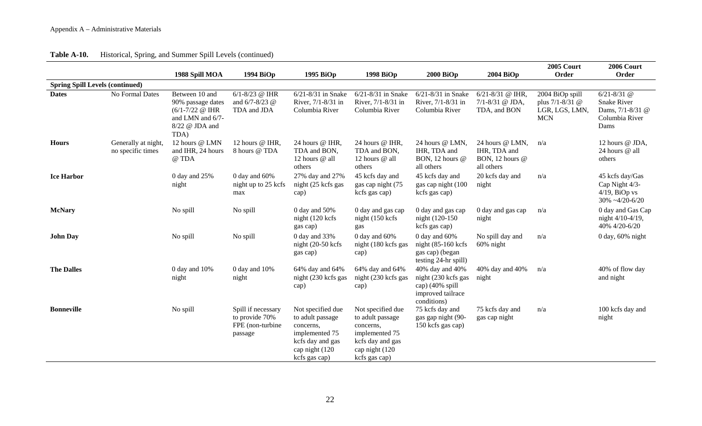|  | Table A-10. | Historical, Spring, and Summer Spill Levels (continued) |  |  |  |
|--|-------------|---------------------------------------------------------|--|--|--|
|--|-------------|---------------------------------------------------------|--|--|--|

|                                        |                                          |                                                                                                           |                                                                     |                                                                                                                             |                                                                                                                             |                                                                                                |                                                                  | 2005 Court                                                         | 2006 Court                                                                          |
|----------------------------------------|------------------------------------------|-----------------------------------------------------------------------------------------------------------|---------------------------------------------------------------------|-----------------------------------------------------------------------------------------------------------------------------|-----------------------------------------------------------------------------------------------------------------------------|------------------------------------------------------------------------------------------------|------------------------------------------------------------------|--------------------------------------------------------------------|-------------------------------------------------------------------------------------|
|                                        |                                          | 1988 Spill MOA                                                                                            | 1994 BiOp                                                           | 1995 BiOp                                                                                                                   | 1998 BiOp                                                                                                                   | <b>2000 BiOp</b>                                                                               | 2004 BiOp                                                        | Order                                                              | Order                                                                               |
| <b>Spring Spill Levels (continued)</b> |                                          |                                                                                                           |                                                                     |                                                                                                                             |                                                                                                                             |                                                                                                |                                                                  |                                                                    |                                                                                     |
| <b>Dates</b>                           | No Formal Dates                          | Between 10 and<br>90% passage dates<br>$(6/1 - 7/22)$ @ IHR<br>and LMN and 6/7-<br>8/22 @ JDA and<br>TDA) | $6/1 - 8/23$ @ IHR<br>and $6/7 - 8/23$ @<br>TDA and JDA             | $6/21 - 8/31$ in Snake<br>River, 7/1-8/31 in<br>Columbia River                                                              | $6/21 - 8/31$ in Snake<br>River, 7/1-8/31 in<br>Columbia River                                                              | $6/21 - 8/31$ in Snake<br>River, 7/1-8/31 in<br>Columbia River                                 | $6/21 - 8/31$ @ IHR,<br>$7/1 - 8/31$ @ JDA,<br>TDA, and BON      | 2004 BiOp spill<br>plus 7/1-8/31 @<br>LGR, LGS, LMN,<br><b>MCN</b> | $6/21 - 8/31$ @<br><b>Snake River</b><br>Dams, 7/1-8/31 @<br>Columbia River<br>Dams |
| <b>Hours</b>                           | Generally at night,<br>no specific times | 12 hours @ LMN<br>and IHR, 24 hours<br>@ TDA                                                              | 12 hours @ IHR,<br>8 hours @ TDA                                    | 24 hours @ IHR,<br>TDA and BON,<br>12 hours @ all<br>others                                                                 | 24 hours @ IHR,<br>TDA and BON,<br>12 hours @ all<br>others                                                                 | 24 hours @ LMN,<br>IHR, TDA and<br>BON, 12 hours @<br>all others                               | 24 hours @ LMN,<br>IHR, TDA and<br>BON, 12 hours @<br>all others | n/a                                                                | 12 hours @ JDA,<br>24 hours @ all<br>others                                         |
| <b>Ice Harbor</b>                      |                                          | 0 day and 25%<br>night                                                                                    | $0$ day and $60\%$<br>night up to 25 kcfs<br>max                    | 27% day and 27%<br>night (25 kcfs gas<br>cap)                                                                               | 45 kcfs day and<br>gas cap night (75<br>kcfs gas cap)                                                                       | 45 kcfs day and<br>gas cap night (100<br>kcfs gas cap)                                         | 20 kcfs day and<br>night                                         | n/a                                                                | 45 kcfs day/Gas<br>Cap Night 4/3-<br>$4/19$ , BiOp vs<br>$30\% -4/20-6/20$          |
| <b>McNary</b>                          |                                          | No spill                                                                                                  | No spill                                                            | 0 day and $50\%$<br>night (120 kcfs)<br>gas cap)                                                                            | 0 day and gas cap<br>night (150 kcfs)<br>gas                                                                                | 0 day and gas cap<br>night (120-150)<br>kcfs gas cap)                                          | 0 day and gas cap<br>night                                       | n/a                                                                | 0 day and Gas Cap<br>night 4/10-4/19,<br>40% 4/20-6/20                              |
| <b>John Day</b>                        |                                          | No spill                                                                                                  | No spill                                                            | 0 day and 33%<br>night $(20-50 \text{ kcfs})$<br>gas cap)                                                                   | 0 day and $60\%$<br>night (180 kcfs gas<br>cap)                                                                             | $0$ day and $60\%$<br>night $(85-160 \text{ kcfs})$<br>gas cap) (began<br>testing 24-hr spill) | No spill day and<br>$60\%$ night                                 | n/a                                                                | $0$ day, $60\%$ night                                                               |
| <b>The Dalles</b>                      |                                          | 0 day and 10%<br>night                                                                                    | 0 day and 10%<br>night                                              | 64% day and 64%<br>night (230 kcfs gas<br>cap)                                                                              | 64% day and 64%<br>night (230 kcfs gas<br>cap)                                                                              | 40% day and 40%<br>night (230 kcfs gas<br>cap) (40% spill<br>improved tailrace<br>conditions)  | 40% day and 40%<br>night                                         | n/a                                                                | 40% of flow day<br>and night                                                        |
| <b>Bonneville</b>                      |                                          | No spill                                                                                                  | Spill if necessary<br>to provide 70%<br>FPE (non-turbine<br>passage | Not specified due<br>to adult passage<br>concerns,<br>implemented 75<br>kcfs day and gas<br>cap night (120<br>kcfs gas cap) | Not specified due<br>to adult passage<br>concerns,<br>implemented 75<br>kcfs day and gas<br>cap night (120<br>kcfs gas cap) | 75 kcfs day and<br>gas gap night (90-<br>150 kcfs gas cap)                                     | 75 kcfs day and<br>gas cap night                                 | n/a                                                                | 100 kcfs day and<br>night                                                           |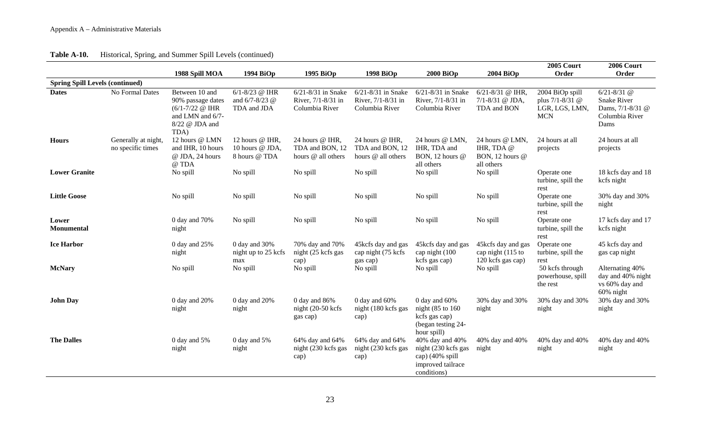| Historical, Spring, and Summer Spill Levels (continued) | Table A-10. |  |  |  |  |
|---------------------------------------------------------|-------------|--|--|--|--|
|---------------------------------------------------------|-------------|--|--|--|--|

|                                        |                                          |                                                                                                                                          |                                                         |                                                                |                                                                |                                                                                               |                                                                | 2005 Court                                                         | 2006 Court                                                                          |
|----------------------------------------|------------------------------------------|------------------------------------------------------------------------------------------------------------------------------------------|---------------------------------------------------------|----------------------------------------------------------------|----------------------------------------------------------------|-----------------------------------------------------------------------------------------------|----------------------------------------------------------------|--------------------------------------------------------------------|-------------------------------------------------------------------------------------|
|                                        |                                          | 1988 Spill MOA                                                                                                                           | 1994 BiOp                                               | 1995 BiOp                                                      | 1998 BiOp                                                      | <b>2000 BiOp</b>                                                                              | 2004 BiOp                                                      | Order                                                              | Order                                                                               |
| <b>Spring Spill Levels (continued)</b> |                                          |                                                                                                                                          |                                                         |                                                                |                                                                |                                                                                               |                                                                |                                                                    |                                                                                     |
| <b>Dates</b>                           | No Formal Dates                          | Between 10 and<br>90% passage dates<br>$(6/1 - 7/22 \text{ } \textcircled{a} \text{ IHR})$<br>and LMN and 6/7-<br>8/22 @ JDA and<br>TDA) | $6/1 - 8/23$ @ IHR<br>and $6/7 - 8/23$ @<br>TDA and JDA | $6/21 - 8/31$ in Snake<br>River, 7/1-8/31 in<br>Columbia River | $6/21 - 8/31$ in Snake<br>River, 7/1-8/31 in<br>Columbia River | $6/21 - 8/31$ in Snake<br>River, 7/1-8/31 in<br>Columbia River                                | $6/21 - 8/31$ @ IHR,<br>$7/1 - 8/31$ @ JDA,<br>TDA and BON     | 2004 BiOp spill<br>plus 7/1-8/31 @<br>LGR, LGS, LMN,<br><b>MCN</b> | $6/21 - 8/31$ @<br><b>Snake River</b><br>Dams, 7/1-8/31 @<br>Columbia River<br>Dams |
| <b>Hours</b>                           | Generally at night,<br>no specific times | 12 hours @ LMN<br>and IHR, 10 hours<br>@ JDA, 24 hours<br>@ TDA                                                                          | 12 hours @ IHR,<br>10 hours @ JDA,<br>8 hours @ TDA     | 24 hours @ IHR,<br>TDA and BON, 12<br>hours @ all others       | 24 hours @ IHR,<br>TDA and BON, 12<br>hours @ all others       | 24 hours @ LMN,<br>IHR, TDA and<br>BON, 12 hours @<br>all others                              | 24 hours @ LMN,<br>IHR, TDA @<br>BON, 12 hours @<br>all others | 24 hours at all<br>projects                                        | 24 hours at all<br>projects                                                         |
| <b>Lower Granite</b>                   |                                          | No spill                                                                                                                                 | No spill                                                | No spill                                                       | No spill                                                       | No spill                                                                                      | No spill                                                       | Operate one<br>turbine, spill the<br>rest                          | 18 kcfs day and 18<br>kcfs night                                                    |
| <b>Little Goose</b>                    |                                          | No spill                                                                                                                                 | No spill                                                | No spill                                                       | No spill                                                       | No spill                                                                                      | No spill                                                       | Operate one<br>turbine, spill the<br>rest                          | 30% day and 30%<br>night                                                            |
| Lower<br>Monumental                    |                                          | 0 day and 70%<br>night                                                                                                                   | No spill                                                | No spill                                                       | No spill                                                       | No spill                                                                                      | No spill                                                       | Operate one<br>turbine, spill the<br>rest                          | 17 kcfs day and 17<br>kcfs night                                                    |
| <b>Ice Harbor</b>                      |                                          | 0 day and 25%<br>night                                                                                                                   | 0 day and 30%<br>night up to 25 kcfs<br>max             | 70% day and 70%<br>night (25 kcfs gas<br>cap)                  | 45 kcfs day and gas<br>cap night (75 kcfs)<br>gas cap)         | 45 kcfs day and gas<br>cap night (100<br>kcfs gas cap)                                        | 45kcfs day and gas<br>cap night (115 to<br>120 kcfs gas cap)   | Operate one<br>turbine, spill the<br>rest                          | 45 kcfs day and<br>gas cap night                                                    |
| <b>McNary</b>                          |                                          | No spill                                                                                                                                 | No spill                                                | No spill                                                       | No spill                                                       | No spill                                                                                      | No spill                                                       | 50 kcfs through<br>powerhouse, spill<br>the rest                   | Alternating 40%<br>day and 40% night<br>vs 60% day and<br>60% night                 |
| <b>John Day</b>                        |                                          | 0 day and 20%<br>night                                                                                                                   | 0 day and 20%<br>night                                  | 0 day and $86%$<br>night (20-50 kcfs)<br>gas cap)              | 0 day and $60\%$<br>night (180 kcfs gas<br>cap)                | 0 day and $60\%$<br>night (85 to 160<br>kcfs gas cap)<br>(began testing 24-<br>hour spill)    | 30% day and 30%<br>night                                       | 30% day and 30%<br>night                                           | 30% day and 30%<br>night                                                            |
| <b>The Dalles</b>                      |                                          | 0 day and 5%<br>night                                                                                                                    | 0 day and 5%<br>night                                   | 64% day and 64%<br>night (230 kcfs gas<br>cap)                 | 64% day and 64%<br>night (230 kcfs gas<br>cap)                 | 40% day and 40%<br>night (230 kcfs gas<br>cap) (40% spill<br>improved tailrace<br>conditions) | 40% day and 40%<br>night                                       | 40% day and 40%<br>night                                           | 40% day and 40%<br>night                                                            |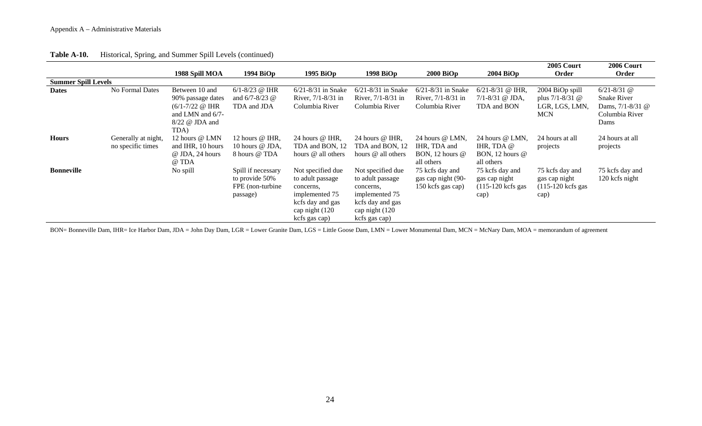|                            |                                          |                                                                                                                           |                                                                       |                                                                                                                              |                                                                                                                              |                                                                    |                                                                          | 2005 Court                                                               | 2006 Court                                                                              |
|----------------------------|------------------------------------------|---------------------------------------------------------------------------------------------------------------------------|-----------------------------------------------------------------------|------------------------------------------------------------------------------------------------------------------------------|------------------------------------------------------------------------------------------------------------------------------|--------------------------------------------------------------------|--------------------------------------------------------------------------|--------------------------------------------------------------------------|-----------------------------------------------------------------------------------------|
|                            |                                          | 1988 Spill MOA                                                                                                            | 1994 BiOp                                                             | 1995 BiOp                                                                                                                    | 1998 BiOp                                                                                                                    | $2000$ BiOp                                                        | $2004$ BiOp                                                              | Order                                                                    | Order                                                                                   |
| <b>Summer Spill Levels</b> |                                          |                                                                                                                           |                                                                       |                                                                                                                              |                                                                                                                              |                                                                    |                                                                          |                                                                          |                                                                                         |
| <b>Dates</b>               | No Formal Dates                          | Between 10 and<br>90% passage dates<br>$(6/1 - 7/22 \omega \text{ IHR})$<br>and LMN and $6/7$ -<br>8/22 @ JDA and<br>TDA) | $6/1 - 8/23$ @ IHR<br>and $6/7 - 8/23$ @<br>TDA and JDA               | $6/21 - 8/31$ in Snake<br>River, 7/1-8/31 in<br>Columbia River                                                               | 6/21-8/31 in Snake<br>River, $7/1 - 8/31$ in<br>Columbia River                                                               | $6/21 - 8/31$ in Snake<br>River, $7/1 - 8/31$ in<br>Columbia River | $6/21 - 8/31$ @ IHR,<br>$7/1 - 8/31$ @ JDA,<br>TDA and BON               | 2004 BiOp spill<br>plus $7/1 - 8/31$ @<br>LGR, LGS, LMN,<br><b>MCN</b>   | $6/21 - 8/31$ @<br><b>Snake River</b><br>Dams, $7/1 - 8/31$ @<br>Columbia River<br>Dams |
| <b>Hours</b>               | Generally at night,<br>no specific times | 12 hours @ LMN<br>and IHR, 10 hours<br>@ JDA, 24 hours<br>@ TDA                                                           | 12 hours $@$ IHR,<br>10 hours @ JDA,<br>8 hours @ TDA                 | 24 hours @ IHR.<br>TDA and BON, 12<br>hours @ all others                                                                     | 24 hours $\omega$ IHR,<br>TDA and BON, 12<br>hours @ all others                                                              | 24 hours @ LMN,<br>IHR, TDA and<br>BON, 12 hours $@$<br>all others | 24 hours @ LMN,<br>IHR, TDA @<br>BON, 12 hours $@$<br>all others         | 24 hours at all<br>projects                                              | 24 hours at all<br>projects                                                             |
| <b>Bonneville</b>          |                                          | No spill                                                                                                                  | Spill if necessary<br>to provide 50%<br>FPE (non-turbine)<br>passage) | Not specified due<br>to adult passage<br>concerns,<br>implemented 75<br>kcfs day and gas<br>cap night (120)<br>kcfs gas cap) | Not specified due<br>to adult passage<br>concerns,<br>implemented 75<br>kcfs day and gas<br>cap night (120)<br>kcfs gas cap) | 75 kcfs day and<br>gas cap night (90-<br>150 kcfs gas cap)         | 75 kcfs day and<br>gas cap night<br>$(115-120 \text{ kcfs gas})$<br>cap) | 75 kcfs day and<br>gas cap night<br>$(115-120 \text{ kcfs gas})$<br>cap) | 75 kcfs day and<br>120 kcfs night                                                       |

#### **Table A-10.** Historical, Spring, and Summer Spill Levels (continued)

BON= Bonneville Dam, IHR= Ice Harbor Dam, JDA = John Day Dam, LGR = Lower Granite Dam, LGS = Little Goose Dam, LMN = Lower Monumental Dam, MCN = McNary Dam, MOA = memorandum of agreement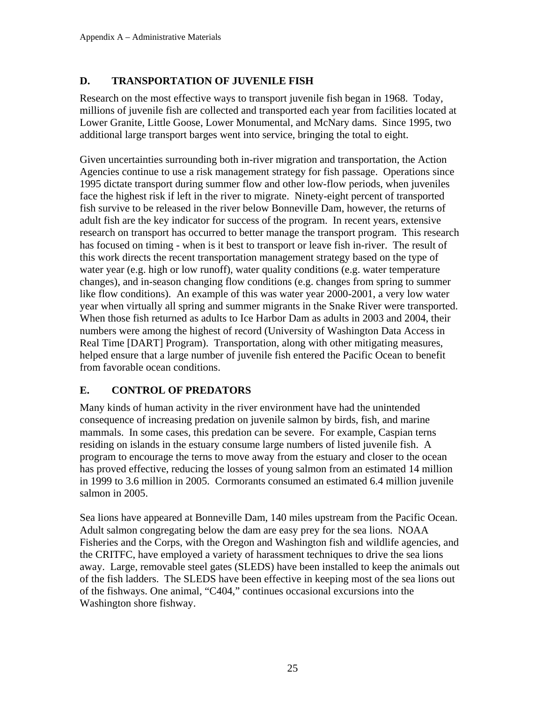## **D. TRANSPORTATION OF JUVENILE FISH**

Research on the most effective ways to transport juvenile fish began in 1968. Today, millions of juvenile fish are collected and transported each year from facilities located at Lower Granite, Little Goose, Lower Monumental, and McNary dams. Since 1995, two additional large transport barges went into service, bringing the total to eight.

Given uncertainties surrounding both in-river migration and transportation, the Action Agencies continue to use a risk management strategy for fish passage. Operations since 1995 dictate transport during summer flow and other low-flow periods, when juveniles face the highest risk if left in the river to migrate. Ninety-eight percent of transported fish survive to be released in the river below Bonneville Dam, however, the returns of adult fish are the key indicator for success of the program. In recent years, extensive research on transport has occurred to better manage the transport program. This research has focused on timing - when is it best to transport or leave fish in-river. The result of this work directs the recent transportation management strategy based on the type of water year (e.g. high or low runoff), water quality conditions (e.g. water temperature changes), and in-season changing flow conditions (e.g. changes from spring to summer like flow conditions). An example of this was water year 2000-2001, a very low water year when virtually all spring and summer migrants in the Snake River were transported. When those fish returned as adults to Ice Harbor Dam as adults in 2003 and 2004, their numbers were among the highest of record (University of Washington Data Access in Real Time [DART] Program). Transportation, along with other mitigating measures, helped ensure that a large number of juvenile fish entered the Pacific Ocean to benefit from favorable ocean conditions.

## **E. CONTROL OF PREDATORS**

Many kinds of human activity in the river environment have had the unintended consequence of increasing predation on juvenile salmon by birds, fish, and marine mammals. In some cases, this predation can be severe. For example, Caspian terns residing on islands in the estuary consume large numbers of listed juvenile fish. A program to encourage the terns to move away from the estuary and closer to the ocean has proved effective, reducing the losses of young salmon from an estimated 14 million in 1999 to 3.6 million in 2005. Cormorants consumed an estimated 6.4 million juvenile salmon in 2005.

Sea lions have appeared at Bonneville Dam, 140 miles upstream from the Pacific Ocean. Adult salmon congregating below the dam are easy prey for the sea lions. NOAA Fisheries and the Corps, with the Oregon and Washington fish and wildlife agencies, and the CRITFC, have employed a variety of harassment techniques to drive the sea lions away. Large, removable steel gates (SLEDS) have been installed to keep the animals out of the fish ladders. The SLEDS have been effective in keeping most of the sea lions out of the fishways. One animal, "C404," continues occasional excursions into the Washington shore fishway.